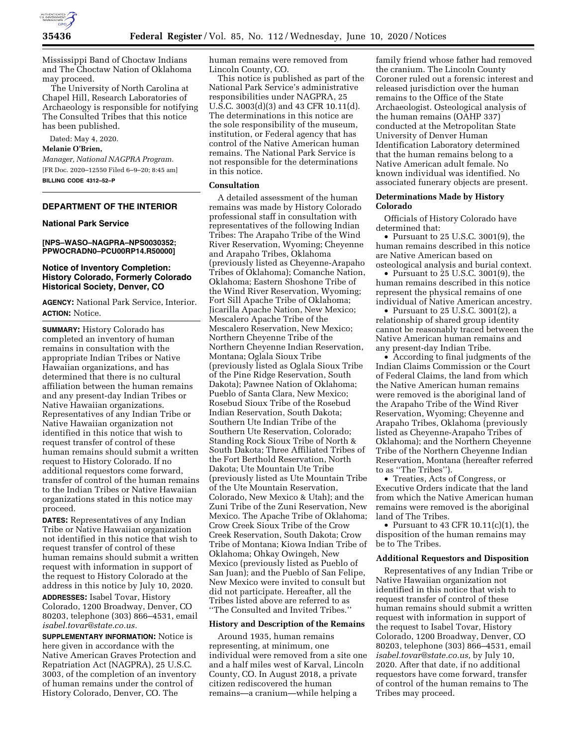

Mississippi Band of Choctaw Indians and The Choctaw Nation of Oklahoma may proceed.

The University of North Carolina at Chapel Hill, Research Laboratories of Archaeology is responsible for notifying The Consulted Tribes that this notice has been published.

Dated: May 4, 2020.

**Melanie O'Brien,** 

*Manager, National NAGPRA Program.*  [FR Doc. 2020–12550 Filed 6–9–20; 8:45 am] **BILLING CODE 4312–52–P** 

## **DEPARTMENT OF THE INTERIOR**

### **National Park Service**

#### **[NPS–WASO–NAGPRA–NPS0030352; PPWOCRADN0–PCU00RP14.R50000]**

## **Notice of Inventory Completion: History Colorado, Formerly Colorado Historical Society, Denver, CO**

**AGENCY:** National Park Service, Interior. **ACTION:** Notice.

**SUMMARY:** History Colorado has completed an inventory of human remains in consultation with the appropriate Indian Tribes or Native Hawaiian organizations, and has determined that there is no cultural affiliation between the human remains and any present-day Indian Tribes or Native Hawaiian organizations. Representatives of any Indian Tribe or Native Hawaiian organization not identified in this notice that wish to request transfer of control of these human remains should submit a written request to History Colorado. If no additional requestors come forward, transfer of control of the human remains to the Indian Tribes or Native Hawaiian organizations stated in this notice may proceed.

**DATES:** Representatives of any Indian Tribe or Native Hawaiian organization not identified in this notice that wish to request transfer of control of these human remains should submit a written request with information in support of the request to History Colorado at the address in this notice by July 10, 2020.

**ADDRESSES:** Isabel Tovar, History Colorado, 1200 Broadway, Denver, CO 80203, telephone (303) 866–4531, email *[isabel.tovar@state.co.us.](mailto:isabel.tovar@state.co.us)* 

**SUPPLEMENTARY INFORMATION:** Notice is here given in accordance with the Native American Graves Protection and Repatriation Act (NAGPRA), 25 U.S.C. 3003, of the completion of an inventory of human remains under the control of History Colorado, Denver, CO. The

human remains were removed from Lincoln County, CO.

This notice is published as part of the National Park Service's administrative responsibilities under NAGPRA, 25 U.S.C. 3003(d)(3) and 43 CFR 10.11(d). The determinations in this notice are the sole responsibility of the museum, institution, or Federal agency that has control of the Native American human remains. The National Park Service is not responsible for the determinations in this notice.

### **Consultation**

A detailed assessment of the human remains was made by History Colorado professional staff in consultation with representatives of the following Indian Tribes: The Arapaho Tribe of the Wind River Reservation, Wyoming; Cheyenne and Arapaho Tribes, Oklahoma (previously listed as Cheyenne-Arapaho Tribes of Oklahoma); Comanche Nation, Oklahoma; Eastern Shoshone Tribe of the Wind River Reservation, Wyoming; Fort Sill Apache Tribe of Oklahoma; Jicarilla Apache Nation, New Mexico; Mescalero Apache Tribe of the Mescalero Reservation, New Mexico; Northern Cheyenne Tribe of the Northern Cheyenne Indian Reservation, Montana; Oglala Sioux Tribe (previously listed as Oglala Sioux Tribe of the Pine Ridge Reservation, South Dakota); Pawnee Nation of Oklahoma; Pueblo of Santa Clara, New Mexico; Rosebud Sioux Tribe of the Rosebud Indian Reservation, South Dakota; Southern Ute Indian Tribe of the Southern Ute Reservation, Colorado; Standing Rock Sioux Tribe of North & South Dakota; Three Affiliated Tribes of the Fort Berthold Reservation, North Dakota; Ute Mountain Ute Tribe (previously listed as Ute Mountain Tribe of the Ute Mountain Reservation, Colorado, New Mexico & Utah); and the Zuni Tribe of the Zuni Reservation, New Mexico. The Apache Tribe of Oklahoma; Crow Creek Sioux Tribe of the Crow Creek Reservation, South Dakota; Crow Tribe of Montana; Kiowa Indian Tribe of Oklahoma; Ohkay Owingeh, New Mexico (previously listed as Pueblo of San Juan); and the Pueblo of San Felipe, New Mexico were invited to consult but did not participate. Hereafter, all the Tribes listed above are referred to as ''The Consulted and Invited Tribes.''

#### **History and Description of the Remains**

Around 1935, human remains representing, at minimum, one individual were removed from a site one and a half miles west of Karval, Lincoln County, CO. In August 2018, a private citizen rediscovered the human remains—a cranium—while helping a

family friend whose father had removed the cranium. The Lincoln County Coroner ruled out a forensic interest and released jurisdiction over the human remains to the Office of the State Archaeologist. Osteological analysis of the human remains (OAHP 337) conducted at the Metropolitan State University of Denver Human Identification Laboratory determined that the human remains belong to a Native American adult female. No known individual was identified. No associated funerary objects are present.

### **Determinations Made by History Colorado**

Officials of History Colorado have determined that:

• Pursuant to 25 U.S.C. 3001(9), the human remains described in this notice are Native American based on osteological analysis and burial context.

• Pursuant to 25 U.S.C. 3001(9), the human remains described in this notice represent the physical remains of one individual of Native American ancestry.

• Pursuant to 25 U.S.C. 3001(2), a relationship of shared group identity cannot be reasonably traced between the Native American human remains and any present-day Indian Tribe.

• According to final judgments of the Indian Claims Commission or the Court of Federal Claims, the land from which the Native American human remains were removed is the aboriginal land of the Arapaho Tribe of the Wind River Reservation, Wyoming; Cheyenne and Arapaho Tribes, Oklahoma (previously listed as Cheyenne-Arapaho Tribes of Oklahoma); and the Northern Cheyenne Tribe of the Northern Cheyenne Indian Reservation, Montana (hereafter referred to as ''The Tribes'').

• Treaties, Acts of Congress, or Executive Orders indicate that the land from which the Native American human remains were removed is the aboriginal land of The Tribes.

• Pursuant to 43 CFR  $10.11(c)(1)$ , the disposition of the human remains may be to The Tribes.

## **Additional Requestors and Disposition**

Representatives of any Indian Tribe or Native Hawaiian organization not identified in this notice that wish to request transfer of control of these human remains should submit a written request with information in support of the request to Isabel Tovar, History Colorado, 1200 Broadway, Denver, CO 80203, telephone (303) 866–4531, email *[isabel.tovar@state.co.us,](mailto:isabel.tovar@state.co.us)* by July 10, 2020. After that date, if no additional requestors have come forward, transfer of control of the human remains to The Tribes may proceed.